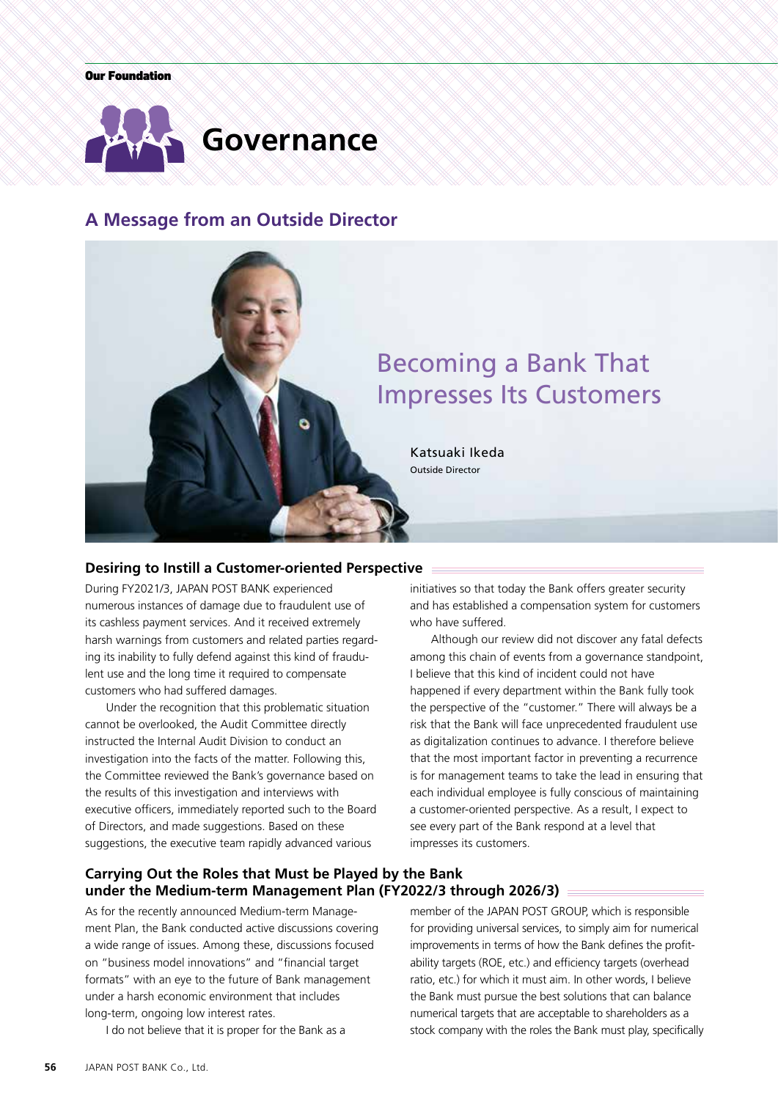

# **A Message from an Outside Director**



# **Desiring to Instill a Customer-oriented Perspective**

During FY2021/3, JAPAN POST BANK experienced numerous instances of damage due to fraudulent use of its cashless payment services. And it received extremely harsh warnings from customers and related parties regarding its inability to fully defend against this kind of fraudulent use and the long time it required to compensate customers who had suffered damages.

Under the recognition that this problematic situation cannot be overlooked, the Audit Committee directly instructed the Internal Audit Division to conduct an investigation into the facts of the matter. Following this, the Committee reviewed the Bank's governance based on the results of this investigation and interviews with executive officers, immediately reported such to the Board of Directors, and made suggestions. Based on these suggestions, the executive team rapidly advanced various

initiatives so that today the Bank offers greater security and has established a compensation system for customers who have suffered.

Although our review did not discover any fatal defects among this chain of events from a governance standpoint, I believe that this kind of incident could not have happened if every department within the Bank fully took the perspective of the "customer." There will always be a risk that the Bank will face unprecedented fraudulent use as digitalization continues to advance. I therefore believe that the most important factor in preventing a recurrence is for management teams to take the lead in ensuring that each individual employee is fully conscious of maintaining a customer-oriented perspective. As a result, I expect to see every part of the Bank respond at a level that impresses its customers.

# **Carrying Out the Roles that Must be Played by the Bank under the Medium-term Management Plan (FY2022/3 through 2026/3)**

As for the recently announced Medium-term Management Plan, the Bank conducted active discussions covering a wide range of issues. Among these, discussions focused on "business model innovations" and "financial target formats" with an eye to the future of Bank management under a harsh economic environment that includes long-term, ongoing low interest rates.

I do not believe that it is proper for the Bank as a

member of the JAPAN POST GROUP, which is responsible for providing universal services, to simply aim for numerical improvements in terms of how the Bank defines the profitability targets (ROE, etc.) and efficiency targets (overhead ratio, etc.) for which it must aim. In other words, I believe the Bank must pursue the best solutions that can balance numerical targets that are acceptable to shareholders as a stock company with the roles the Bank must play, specifically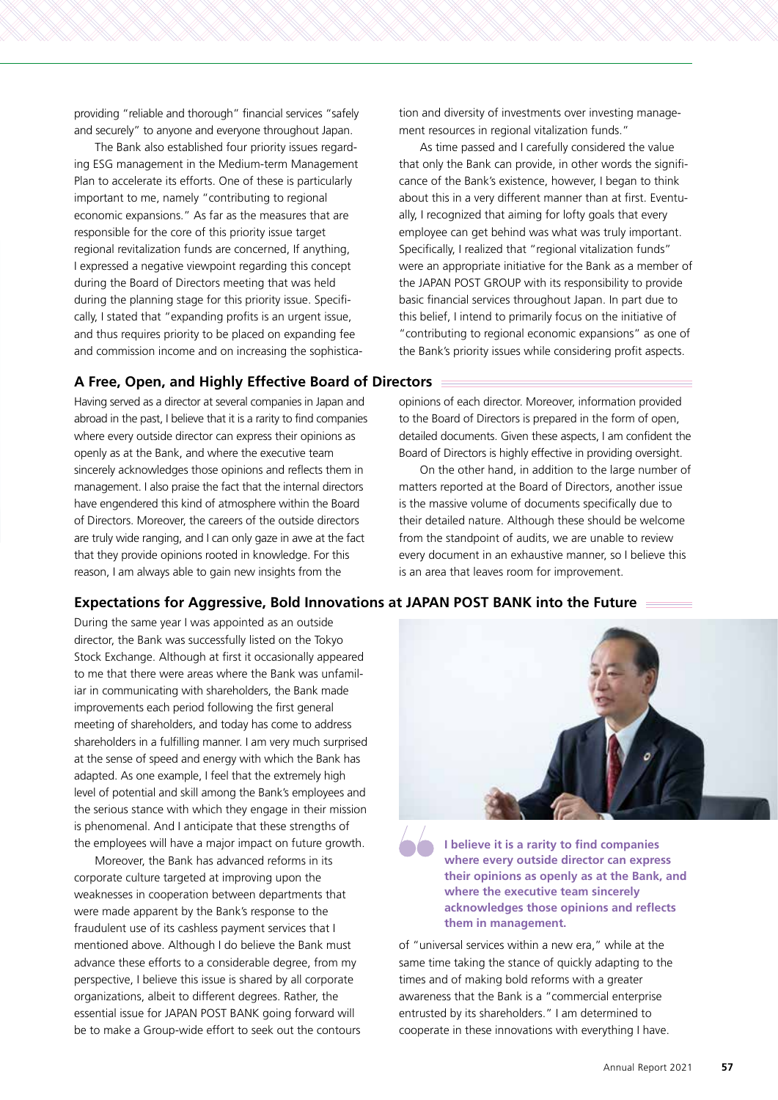providing "reliable and thorough" financial services "safely and securely" to anyone and everyone throughout Japan.

The Bank also established four priority issues regarding ESG management in the Medium-term Management Plan to accelerate its efforts. One of these is particularly important to me, namely "contributing to regional economic expansions." As far as the measures that are responsible for the core of this priority issue target regional revitalization funds are concerned, If anything, I expressed a negative viewpoint regarding this concept during the Board of Directors meeting that was held during the planning stage for this priority issue. Specifically, I stated that "expanding profits is an urgent issue, and thus requires priority to be placed on expanding fee and commission income and on increasing the sophistica-

# **A Free, Open, and Highly Effective Board of Directors**

Having served as a director at several companies in Japan and abroad in the past, I believe that it is a rarity to find companies where every outside director can express their opinions as openly as at the Bank, and where the executive team sincerely acknowledges those opinions and reflects them in management. I also praise the fact that the internal directors have engendered this kind of atmosphere within the Board of Directors. Moreover, the careers of the outside directors are truly wide ranging, and I can only gaze in awe at the fact that they provide opinions rooted in knowledge. For this reason, I am always able to gain new insights from the

tion and diversity of investments over investing management resources in regional vitalization funds."

As time passed and I carefully considered the value that only the Bank can provide, in other words the significance of the Bank's existence, however, I began to think about this in a very different manner than at first. Eventually, I recognized that aiming for lofty goals that every employee can get behind was what was truly important. Specifically, I realized that "regional vitalization funds" were an appropriate initiative for the Bank as a member of the JAPAN POST GROUP with its responsibility to provide basic financial services throughout Japan. In part due to this belief, I intend to primarily focus on the initiative of "contributing to regional economic expansions" as one of the Bank's priority issues while considering profit aspects.

opinions of each director. Moreover, information provided to the Board of Directors is prepared in the form of open, detailed documents. Given these aspects, I am confident the Board of Directors is highly effective in providing oversight.

On the other hand, in addition to the large number of matters reported at the Board of Directors, another issue is the massive volume of documents specifically due to their detailed nature. Although these should be welcome from the standpoint of audits, we are unable to review every document in an exhaustive manner, so I believe this is an area that leaves room for improvement.

## **Expectations for Aggressive, Bold Innovations at JAPAN POST BANK into the Future**

During the same year I was appointed as an outside director, the Bank was successfully listed on the Tokyo Stock Exchange. Although at first it occasionally appeared to me that there were areas where the Bank was unfamiliar in communicating with shareholders, the Bank made improvements each period following the first general meeting of shareholders, and today has come to address shareholders in a fulfilling manner. I am very much surprised at the sense of speed and energy with which the Bank has adapted. As one example, I feel that the extremely high level of potential and skill among the Bank's employees and the serious stance with which they engage in their mission is phenomenal. And I anticipate that these strengths of the employees will have a major impact on future growth.

Moreover, the Bank has advanced reforms in its corporate culture targeted at improving upon the weaknesses in cooperation between departments that were made apparent by the Bank's response to the fraudulent use of its cashless payment services that I mentioned above. Although I do believe the Bank must advance these efforts to a considerable degree, from my perspective, I believe this issue is shared by all corporate organizations, albeit to different degrees. Rather, the essential issue for JAPAN POST BANK going forward will be to make a Group-wide effort to seek out the contours



**I believe it is a rarity to find companies where every outside director can express their opinions as openly as at the Bank, and where the executive team sincerely acknowledges those opinions and reflects them in management.**

of "universal services within a new era," while at the same time taking the stance of quickly adapting to the times and of making bold reforms with a greater awareness that the Bank is a "commercial enterprise entrusted by its shareholders." I am determined to cooperate in these innovations with everything I have.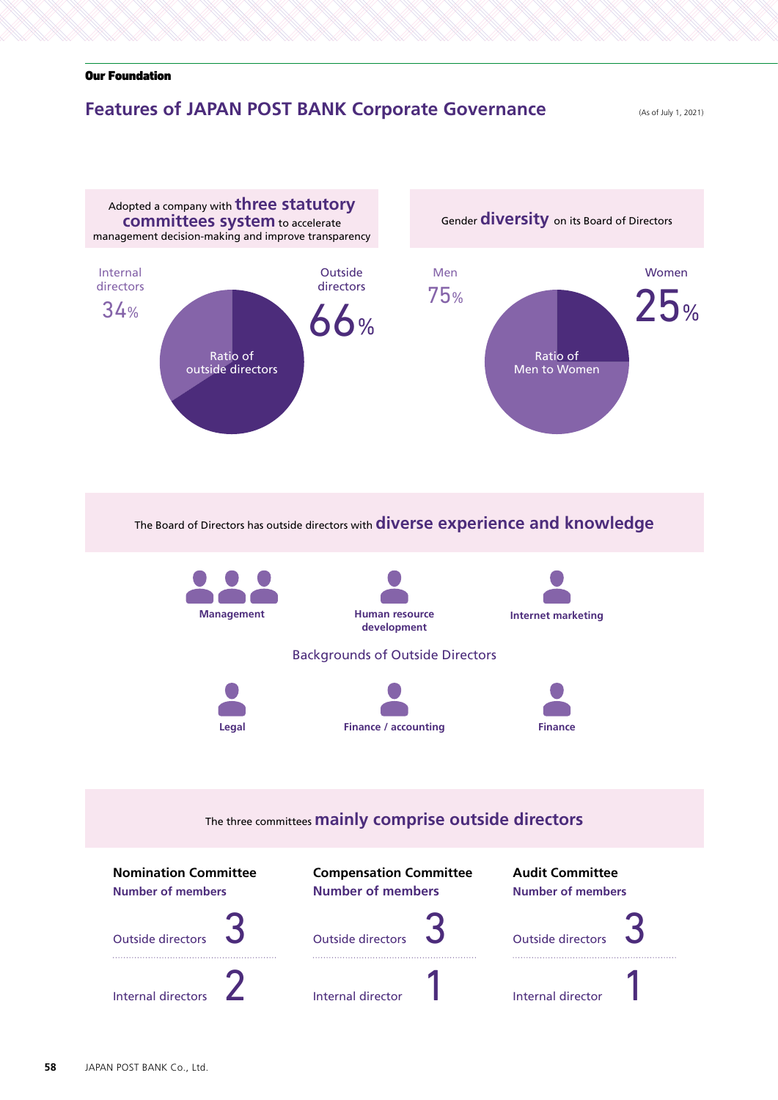# **Features of JAPAN POST BANK Corporate Governance** (As of July 1, 2021)

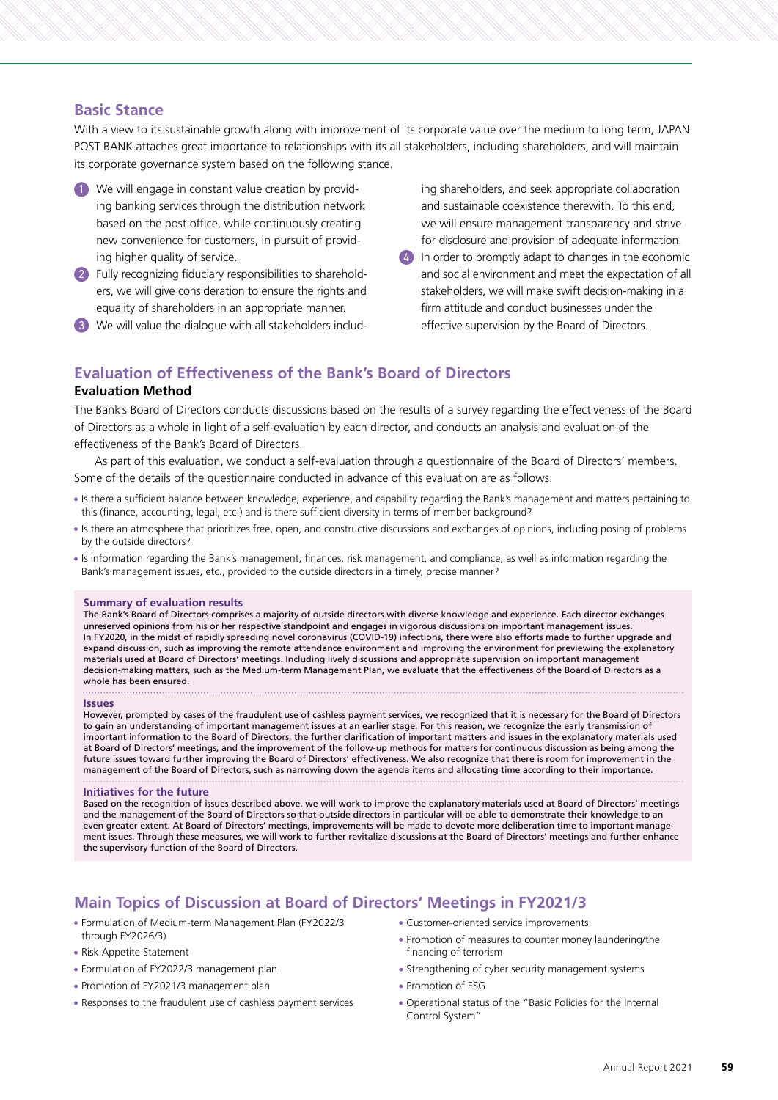# **Basic Stance**

With a view to its sustainable growth along with improvement of its corporate value over the medium to long term, JAPAN POST BANK attaches great importance to relationships with its all stakeholders, including shareholders, and will maintain its corporate governance system based on the following stance.

- 1 We will engage in constant value creation by providing banking services through the distribution network based on the post office, while continuously creating new convenience for customers, in pursuit of providing higher quality of service.
- 2 Fully recognizing fiduciary responsibilities to shareholders, we will give consideration to ensure the rights and equality of shareholders in an appropriate manner.
- 3 We will value the dialogue with all stakeholders includ-

ing shareholders, and seek appropriate collaboration and sustainable coexistence therewith. To this end, we will ensure management transparency and strive for disclosure and provision of adequate information.

4 In order to promptly adapt to changes in the economic and social environment and meet the expectation of all stakeholders, we will make swift decision-making in a firm attitude and conduct businesses under the effective supervision by the Board of Directors.

# **Evaluation of Effectiveness of the Bank's Board of Directors**

#### **Evaluation Method**

The Bank's Board of Directors conducts discussions based on the results of a survey regarding the effectiveness of the Board of Directors as a whole in light of a self-evaluation by each director, and conducts an analysis and evaluation of the effectiveness of the Bank's Board of Directors.

As part of this evaluation, we conduct a self-evaluation through a questionnaire of the Board of Directors' members. Some of the details of the questionnaire conducted in advance of this evaluation are as follows.

- Is there a sufficient balance between knowledge, experience, and capability regarding the Bank's management and matters pertaining to this (finance, accounting, legal, etc.) and is there sufficient diversity in terms of member background?
- If there an atmosphere that prioritizes free, open, and constructive discussions and exchanges of opinions, including posing of problems by the outside directors?
- Is information regarding the Bank's management, finances, risk management, and compliance, as well as information regarding the Bank's management issues, etc., provided to the outside directors in a timely, precise manner?

#### **Summary of evaluation results**

The Bank's Board of Directors comprises a majority of outside directors with diverse knowledge and experience. Each director exchanges unreserved opinions from his or her respective standpoint and engages in vigorous discussions on important management issues. In FY2020, in the midst of rapidly spreading novel coronavirus (COVID-19) infections, there were also efforts made to further upgrade and expand discussion, such as improving the remote attendance environment and improving the environment for previewing the explanatory materials used at Board of Directors' meetings. Including lively discussions and appropriate supervision on important management decision-making matters, such as the Medium-term Management Plan, we evaluate that the effectiveness of the Board of Directors as a whole has been ensured.

#### **Issues**

However, prompted by cases of the fraudulent use of cashless payment services, we recognized that it is necessary for the Board of Directors to gain an understanding of important management issues at an earlier stage. For this reason, we recognize the early transmission of important information to the Board of Directors, the further clarification of important matters and issues in the explanatory materials used at Board of Directors' meetings, and the improvement of the follow-up methods for matters for continuous discussion as being among the future issues toward further improving the Board of Directors' effectiveness. We also recognize that there is room for improvement in the management of the Board of Directors, such as narrowing down the agenda items and allocating time according to their importance.

#### **Initiatives for the future**

Based on the recognition of issues described above, we will work to improve the explanatory materials used at Board of Directors' meetings and the management of the Board of Directors so that outside directors in particular will be able to demonstrate their knowledge to an even greater extent. At Board of Directors' meetings, improvements will be made to devote more deliberation time to important management issues. Through these measures, we will work to further revitalize discussions at the Board of Directors' meetings and further enhance the supervisory function of the Board of Directors.

# **Main Topics of Discussion at Board of Directors' Meetings in FY2021/3**

- Formulation of Medium-term Management Plan (FY2022/3 through FY2026/3)
- Risk Appetite Statement
- Formulation of FY2022/3 management plan
- Promotion of FY2021/3 management plan
- Responses to the fraudulent use of cashless payment services
- Customer-oriented service improvements
- Promotion of measures to counter money laundering/the financing of terrorism
- Strengthening of cyber security management systems
- Promotion of ESG
- Operational status of the "Basic Policies for the Internal Control System"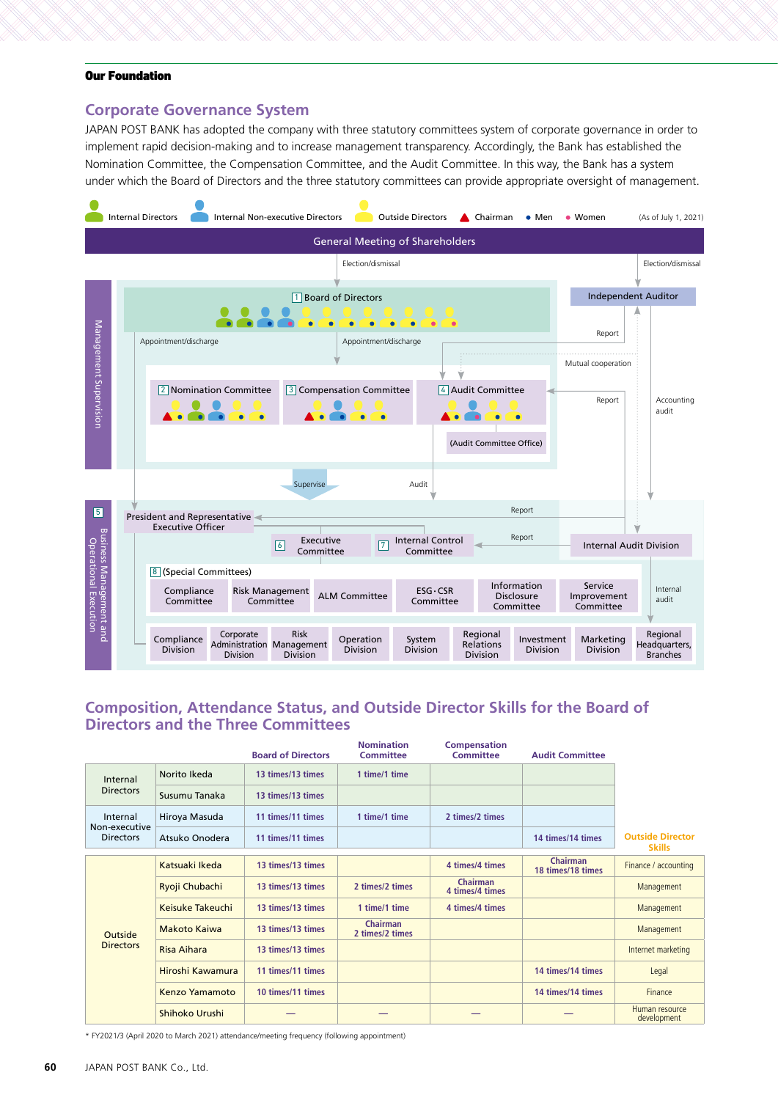# **Corporate Governance System**

JAPAN POST BANK has adopted the company with three statutory committees system of corporate governance in order to implement rapid decision-making and to increase management transparency. Accordingly, the Bank has established the Nomination Committee, the Compensation Committee, and the Audit Committee. In this way, the Bank has a system under which the Board of Directors and the three statutory committees can provide appropriate oversight of management.



# **Composition, Attendance Status, and Outside Director Skills for the Board of Directors and the Three Committees**

|                                               |                     | <b>Board of Directors</b> | <b>Nomination</b><br><b>Committee</b> | <b>Compensation</b><br><b>Committee</b> | <b>Audit Committee</b>               |                                          |
|-----------------------------------------------|---------------------|---------------------------|---------------------------------------|-----------------------------------------|--------------------------------------|------------------------------------------|
| Internal<br><b>Directors</b>                  | Norito Ikeda        | 13 times/13 times         | 1 time/1 time                         |                                         |                                      |                                          |
|                                               | Susumu Tanaka       | 13 times/13 times         |                                       |                                         |                                      |                                          |
| Internal<br>Non-executive<br><b>Directors</b> | Hiroya Masuda       | 11 times/11 times         | 1 time/1 time                         | 2 times/2 times                         |                                      |                                          |
|                                               | Atsuko Onodera      | 11 times/11 times         |                                       |                                         | 14 times/14 times                    | <b>Outside Director</b><br><b>Skills</b> |
| Outside<br><b>Directors</b>                   | Katsuaki Ikeda      | 13 times/13 times         |                                       | 4 times/4 times                         | <b>Chairman</b><br>18 times/18 times | Finance / accounting                     |
|                                               | Ryoji Chubachi      | 13 times/13 times         | 2 times/2 times                       | <b>Chairman</b><br>4 times/4 times      |                                      | Management                               |
|                                               | Keisuke Takeuchi    | 13 times/13 times         | 1 time/1 time                         | 4 times/4 times                         |                                      | Management                               |
|                                               | <b>Makoto Kaiwa</b> | 13 times/13 times         | Chairman<br>2 times/2 times           |                                         |                                      | Management                               |
|                                               | Risa Aihara         | 13 times/13 times         |                                       |                                         |                                      | Internet marketing                       |
|                                               | Hiroshi Kawamura    | 11 times/11 times         |                                       |                                         | 14 times/14 times                    | Legal                                    |
|                                               | Kenzo Yamamoto      | 10 times/11 times         |                                       |                                         | 14 times/14 times                    | Finance                                  |
|                                               | Shihoko Urushi      |                           |                                       |                                         |                                      | Human resource<br>development            |

\* FY2021/3 (April 2020 to March 2021) attendance/meeting frequency (following appointment)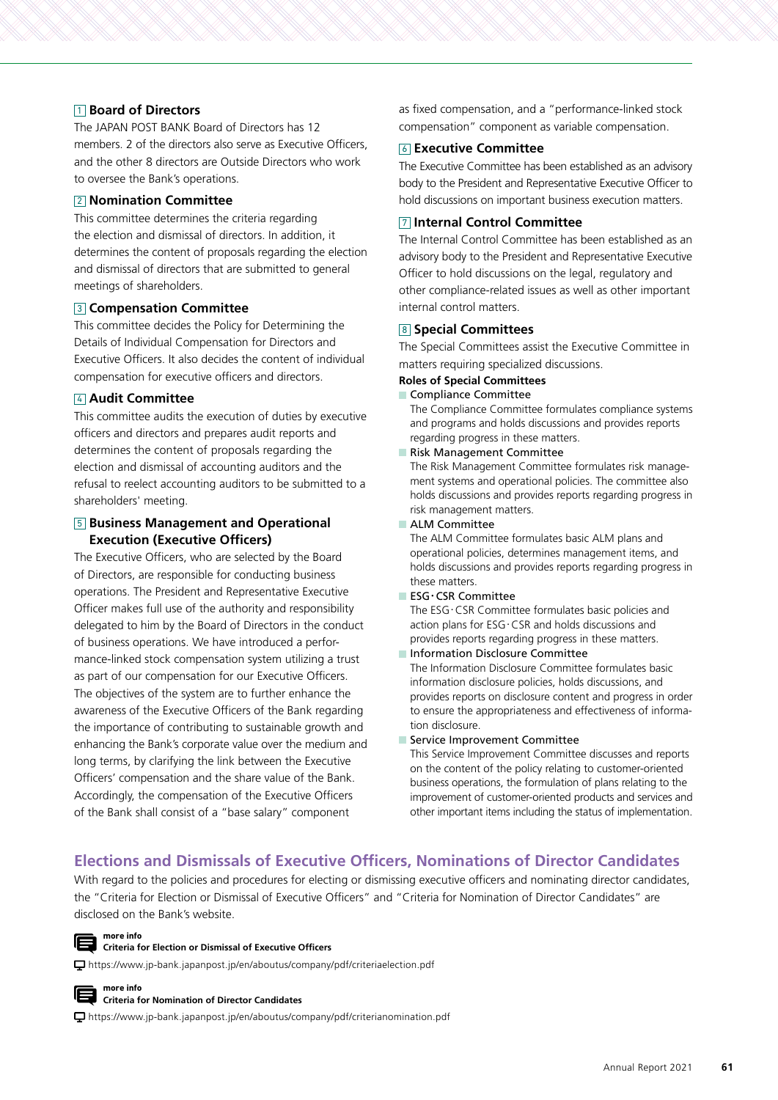# 1 **Board of Directors**

The JAPAN POST BANK Board of Directors has 12 members. 2 of the directors also serve as Executive Officers, and the other 8 directors are Outside Directors who work to oversee the Bank's operations.

### 2 **Nomination Committee**

This committee determines the criteria regarding the election and dismissal of directors. In addition, it determines the content of proposals regarding the election and dismissal of directors that are submitted to general meetings of shareholders.

### 3 **Compensation Committee**

This committee decides the Policy for Determining the Details of Individual Compensation for Directors and Executive Officers. It also decides the content of individual compensation for executive officers and directors.

#### 4 **Audit Committee**

This committee audits the execution of duties by executive officers and directors and prepares audit reports and determines the content of proposals regarding the election and dismissal of accounting auditors and the refusal to reelect accounting auditors to be submitted to a shareholders' meeting.

## 5 **Business Management and Operational Execution (Executive Officers)**

The Executive Officers, who are selected by the Board of Directors, are responsible for conducting business operations. The President and Representative Executive Officer makes full use of the authority and responsibility delegated to him by the Board of Directors in the conduct of business operations. We have introduced a performance-linked stock compensation system utilizing a trust as part of our compensation for our Executive Officers. The objectives of the system are to further enhance the awareness of the Executive Officers of the Bank regarding the importance of contributing to sustainable growth and enhancing the Bank's corporate value over the medium and long terms, by clarifying the link between the Executive Officers' compensation and the share value of the Bank. Accordingly, the compensation of the Executive Officers of the Bank shall consist of a "base salary" component

as fixed compensation, and a "performance-linked stock compensation" component as variable compensation.

## 6 **Executive Committee**

The Executive Committee has been established as an advisory body to the President and Representative Executive Officer to hold discussions on important business execution matters.

## 7 **Internal Control Committee**

The Internal Control Committee has been established as an advisory body to the President and Representative Executive Officer to hold discussions on the legal, regulatory and other compliance-related issues as well as other important internal control matters.

#### 8 **Special Committees**

The Special Committees assist the Executive Committee in matters requiring specialized discussions.

# **Roles of Special Committees**

Compliance Committee The Compliance Committee formulates compliance systems and programs and holds discussions and provides reports regarding progress in these matters.

n. Risk Management Committee

The Risk Management Committee formulates risk management systems and operational policies. The committee also holds discussions and provides reports regarding progress in risk management matters.

#### **ALM Committee**

The ALM Committee formulates basic ALM plans and operational policies, determines management items, and holds discussions and provides reports regarding progress in these matters.

 $E$  ESG $\cdot$ CSR Committee

The ESG・CSR Committee formulates basic policies and action plans for ESG・CSR and holds discussions and provides reports regarding progress in these matters.

- **Information Disclosure Committee** The Information Disclosure Committee formulates basic information disclosure policies, holds discussions, and provides reports on disclosure content and progress in order to ensure the appropriateness and effectiveness of information disclosure.
- Service Improvement Committee

This Service Improvement Committee discusses and reports on the content of the policy relating to customer-oriented business operations, the formulation of plans relating to the improvement of customer-oriented products and services and other important items including the status of implementation.

# **Elections and Dismissals of Executive Officers, Nominations of Director Candidates**

With regard to the policies and procedures for electing or dismissing executive officers and nominating director candidates, the "Criteria for Election or Dismissal of Executive Officers" and "Criteria for Nomination of Director Candidates" are disclosed on the Bank's website.



#### **Criteria for Election or Dismissal of Executive Officers**

https://www.jp-bank.japanpost.jp/en/aboutus/company/pdf/criteriaelection.pdf



#### **Criteria for Nomination of Director Candidates**

https://www.jp-bank.japanpost.jp/en/aboutus/company/pdf/criterianomination.pdf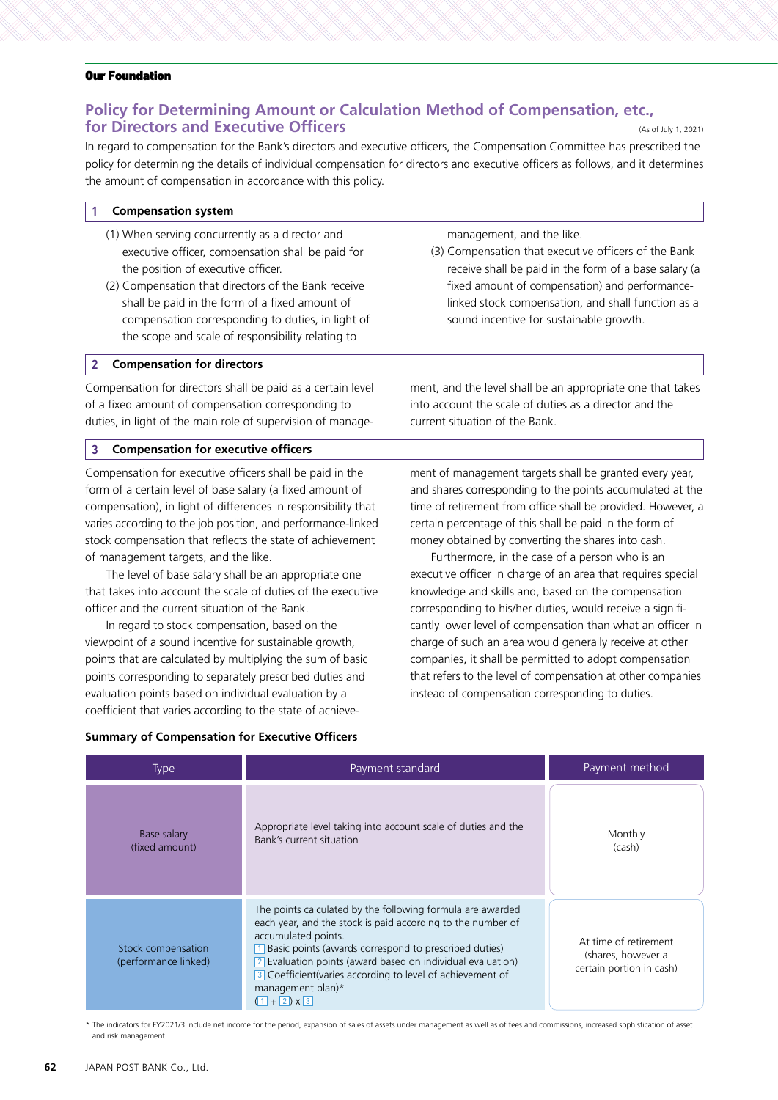# **Policy for Determining Amount or Calculation Method of Compensation, etc., for Directors and Executive Officers** (As of July 1, 2021)

In regard to compensation for the Bank's directors and executive officers, the Compensation Committee has prescribed the policy for determining the details of individual compensation for directors and executive officers as follows, and it determines the amount of compensation in accordance with this policy.

#### 1 **Compensation system**

- (1) When serving concurrently as a director and executive officer, compensation shall be paid for the position of executive officer.
- (2) Compensation that directors of the Bank receive shall be paid in the form of a fixed amount of compensation corresponding to duties, in light of the scope and scale of responsibility relating to

## 2 **Compensation for directors**

Compensation for directors shall be paid as a certain level of a fixed amount of compensation corresponding to duties, in light of the main role of supervision of manage-

#### 3 **Compensation for executive officers**

Compensation for executive officers shall be paid in the form of a certain level of base salary (a fixed amount of compensation), in light of differences in responsibility that varies according to the job position, and performance-linked stock compensation that reflects the state of achievement of management targets, and the like.

The level of base salary shall be an appropriate one that takes into account the scale of duties of the executive officer and the current situation of the Bank.

In regard to stock compensation, based on the viewpoint of a sound incentive for sustainable growth, points that are calculated by multiplying the sum of basic points corresponding to separately prescribed duties and evaluation points based on individual evaluation by a coefficient that varies according to the state of achievemanagement, and the like.

(3) Compensation that executive officers of the Bank receive shall be paid in the form of a base salary (a fixed amount of compensation) and performancelinked stock compensation, and shall function as a sound incentive for sustainable growth.

ment, and the level shall be an appropriate one that takes into account the scale of duties as a director and the current situation of the Bank.

ment of management targets shall be granted every year, and shares corresponding to the points accumulated at the time of retirement from office shall be provided. However, a certain percentage of this shall be paid in the form of money obtained by converting the shares into cash.

Furthermore, in the case of a person who is an executive officer in charge of an area that requires special knowledge and skills and, based on the compensation corresponding to his/her duties, would receive a significantly lower level of compensation than what an officer in charge of such an area would generally receive at other companies, it shall be permitted to adopt compensation that refers to the level of compensation at other companies instead of compensation corresponding to duties.

## **Summary of Compensation for Executive Officers**

| <b>Type</b>                                | Payment standard                                                                                                                                                                                                                                                                                                                                                                   | Payment method                                                          |  |
|--------------------------------------------|------------------------------------------------------------------------------------------------------------------------------------------------------------------------------------------------------------------------------------------------------------------------------------------------------------------------------------------------------------------------------------|-------------------------------------------------------------------------|--|
| Base salary<br>(fixed amount)              | Appropriate level taking into account scale of duties and the<br>Bank's current situation                                                                                                                                                                                                                                                                                          | Monthly<br>(cash)                                                       |  |
| Stock compensation<br>(performance linked) | The points calculated by the following formula are awarded<br>each year, and the stock is paid according to the number of<br>accumulated points.<br>1 Basic points (awards correspond to prescribed duties)<br>2 Evaluation points (award based on individual evaluation)<br>3 Coefficient (varies according to level of achievement of<br>management plan)*<br>$(1 + 2) \times 3$ | At time of retirement<br>(shares, however a<br>certain portion in cash) |  |

\* The indicators for FY2021/3 include net income for the period, expansion of sales of assets under management as well as of fees and commissions, increased sophistication of asset and risk management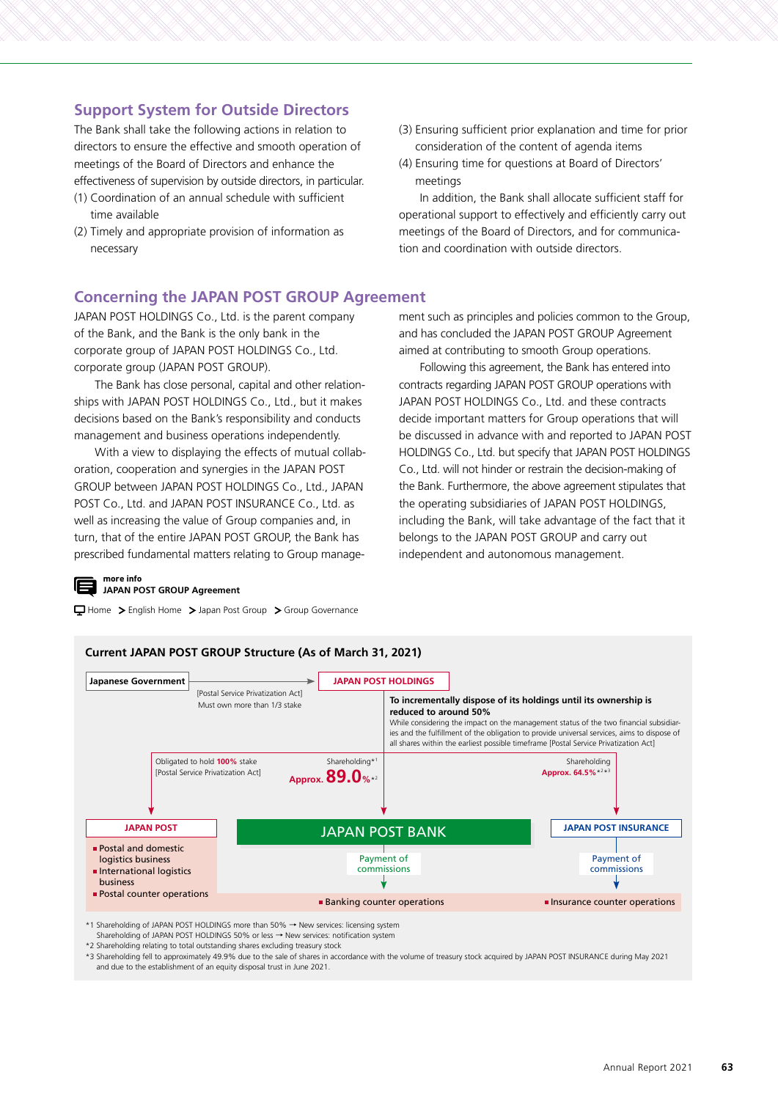# **Support System for Outside Directors**

The Bank shall take the following actions in relation to directors to ensure the effective and smooth operation of meetings of the Board of Directors and enhance the effectiveness of supervision by outside directors, in particular.

- (1) Coordination of an annual schedule with sufficient time available
- (2) Timely and appropriate provision of information as necessary
- (3) Ensuring sufficient prior explanation and time for prior consideration of the content of agenda items
- (4) Ensuring time for questions at Board of Directors' meetings

In addition, the Bank shall allocate sufficient staff for operational support to effectively and efficiently carry out meetings of the Board of Directors, and for communication and coordination with outside directors.

# **Concerning the JAPAN POST GROUP Agreement**

JAPAN POST HOLDINGS Co., Ltd. is the parent company of the Bank, and the Bank is the only bank in the corporate group of JAPAN POST HOLDINGS Co., Ltd. corporate group (JAPAN POST GROUP).

The Bank has close personal, capital and other relationships with JAPAN POST HOLDINGS Co., Ltd., but it makes decisions based on the Bank's responsibility and conducts management and business operations independently.

With a view to displaying the effects of mutual collaboration, cooperation and synergies in the JAPAN POST GROUP between JAPAN POST HOLDINGS Co., Ltd., JAPAN POST Co., Ltd. and JAPAN POST INSURANCE Co., Ltd. as well as increasing the value of Group companies and, in turn, that of the entire JAPAN POST GROUP, the Bank has prescribed fundamental matters relating to Group manage-

Home > English Home > Japan Post Group > Group Governance

**more info**

**JAPAN POST GROUP Agreement**

ment such as principles and policies common to the Group, and has concluded the JAPAN POST GROUP Agreement aimed at contributing to smooth Group operations.

Following this agreement, the Bank has entered into contracts regarding JAPAN POST GROUP operations with JAPAN POST HOLDINGS Co., Ltd. and these contracts decide important matters for Group operations that will be discussed in advance with and reported to JAPAN POST HOLDINGS Co., Ltd. but specify that JAPAN POST HOLDINGS Co., Ltd. will not hinder or restrain the decision-making of the Bank. Furthermore, the above agreement stipulates that the operating subsidiaries of JAPAN POST HOLDINGS, including the Bank, will take advantage of the fact that it belongs to the JAPAN POST GROUP and carry out independent and autonomous management.



\*2 Shareholding relating to total outstanding shares excluding treasury stock

\*3 Shareholding fell to approximately 49.9% due to the sale of shares in accordance with the volume of treasury stock acquired by JAPAN POST INSURANCE during May 2021 and due to the establishment of an equity disposal trust in June 2021.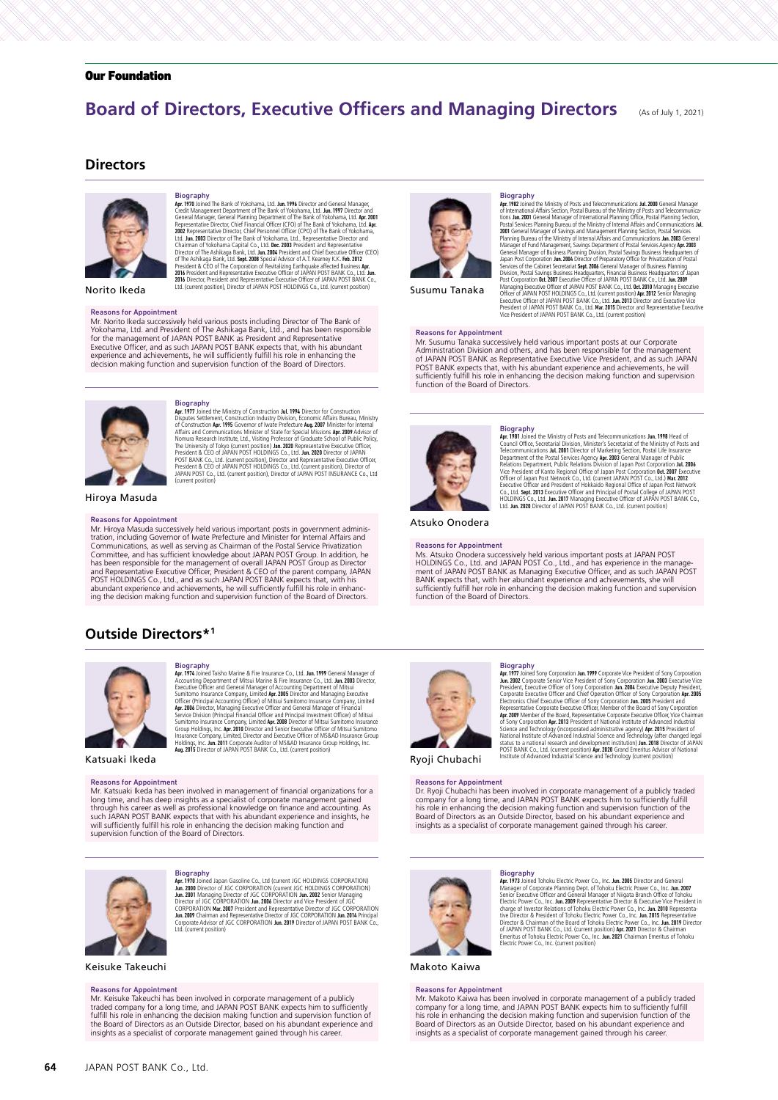# **Board of Directors, Executive Officers and Managing Directors** (As of July 1, 2021)

#### **Directors**



**Biography**<br> **Biography**<br> **Biography**<br> **Biography**<br> **Great Management Department of The Bank of Yokohama, Ltd. Jun. 1997** Director and<br>
General Management Department of The Bank of Yokohama, Ltd. Jun. 1997<br>
Credit Manageme

Norito Ikeda

#### Reasons for Appointment

Mr. Norito Ikeda successively held various posts including Director of The Bank of<br>Yokohama, Ltd. and President of The Ashikaga Bank, Ltd., and has been responsible<br>for the management of JAPAN POST BANK as President and Re Executive Officer, and as such JAPAN POST BANK expects that, with his abundant<br>experience and achievements, he will sufficiently fulfill his role in enhancing the<br>decision making function and supervision function of the Bo



**Biography**<br> **Biography**<br> **Biography**<br> **Biography**<br> **Disputes Settlement, Construction Industry Division, Economic Affairs Bureau, Ministry<br>
Disputes Settlement, Construction Industry Division, Economic Affairs Bureau, Min** 

Hiroya Masuda

#### Reasons for Appointment

Mr. Hiroya Masuda successively held various important posts in government administration, including Governor of Iwate Prefecture and Minister for Internal Affairs and<br>Communications, as well as serving as Chairman of the Postal Service Privatization<br>Committee, and has sufficient knowledge about JAPAN P has been responsible for the management of overall JAPAN POST Group as Director<br>and Representative Executive Officer, President & CEO of the parent company, JAPAN<br>POST HOLDINGS Co., Ltd., and as such JAPAN POST BANK expect abundant experience and achievements, he will sufficiently fulfill his role in enhanc-ing the decision making function and supervision function of the Board of Directors.

## **Outside Directors\*1**



**Biography**<br> **Biography**<br> **Biography**<br> **Biography**<br> **Biography**<br> **Biography**<br> **And 1999** General Manager of Mitsui Marine & Fire Insurance Co., Ltd. **Jun. 2003** Director,<br>
Executive Officer and General Manager of Accounti

Katsuaki Ikeda

#### Reasons for Appointment

Mr. Katsuaki Ikeda has been involved in management of financial organizations for a long time, and has deep insights as a specialist of corporate management gained through his career as well as professional knowledge on finance and accounting. As<br>such JAPAN POST BANK expects that with his abundant experience and insights, he<br>will sufficiently fulfill his role in enhancing the decisio supervision function of the Board of Directors.



Biography **Apr. 1979** Joined Japan Gasoline Co., Ltd (current JGC HOLDINGS CORPORATION)<br>Jun. 2000 Director of JGC CORPORATION (current JGC HOLDINGS CORPORATION)<br>Jun. 2001 Managing Director of JGC CORPORATION Jun. 2002 Senior Managin Ltd. (current position)

# Keisuke Takeuchi

#### Reasons for Appointment

Mr. Keisuke Takeuchi has been involved in corporate management of a publicly<br>traded company for a long time, and JAPAN POST BANK expects him to sufficiently<br>fulfill his role in enhancing the decision making function and su the Board of Directors as an Outside Director, based on his abundant experience and insights as a specialist of corporate management gained through his career.



Susumu Tanaka

#### Reasons for Appointment

Mr. Susumu Tanaka successively held various important posts at our Corporate Administration Division and others, and has been responsible for the management<br>of JAPAN POST BANK as Representative Executive Vice President, and as such JAPAN<br>POST BANK expects that, with his abundant experience and achi sufficiently fulfill his role in enhancing the decision making function and supervision function of the Board of Directors.



# **Biography**<br> **Biography**<br> **Biography**<br> **An:** 1998 Head of<br> **Council Office**, Secretarial Division, Minister's Secretariat of the Ministry of Posts and<br> **Council Office**, Secretarial Division, Minister's Secretariat of the

Biography Apr. 1982 Joined the Ministry of Posts and Telecommunications Jul. 2000 General Manager of International Affairs Section, Postal Bureau of the Ministry of Posts and Telecommunica-

tions Jan. 2001 General Manager of International Planning Office, bostal Planning Section, Bostal Services Planning Bureau of the Ministry of Internal Affairs and Communications July 2001 General Manager of Savings and Man

Atsuko Onodera

Reasons for Appointment<br>Ms. Atsuko Onodera successively held various important posts at JAPAN POST<br>HOLDINGS Co., Ltd. and JAPAN POST Co., Ltd., and has experience in the manage-<br>ment of JAPAN POST BANK as Managing Executiv sufficiently fulfill her role in enhancing the decision making function and supervision function of the Board of Directors.



**Biography**<br> **Biography**<br> **Biography**<br> **BACTIV**<br> **DIMENTIFY**<br> **DIMENTIFY**<br> **DIMENTIFY**<br> **DIMENTIFY**<br> **PERSION INTERFERIT CONTING TO CONTINUATION IN 2008 Executive Vice**<br> **Contrast Executive Officer of Sony Corporation Ann** 

Ryoji Chubachi

#### Reasons for Appointment

Dr. Ryoji Chubachi has been involved in corporate management of a publicly traded company for a long time, and JAPAN POST BANK expects him to sufficiently fulfill his role in enhancing the decision making function and supervision function of the<br>Board of Directors as an Outside Director, based on his abundant experience and<br>insights as a specialist of corporate management gained thr



**Biography**<br> **Biography**<br> **Biography**<br> **Biography**<br> **Biography**<br> **Ran, 1973** Joined Tohoku Electric Power Co., Inc. Jun. 2005<br>
Senior Executive Officer and General Manager of Nilgata Branch Office of Tohoku<br>
Electric Power

Makoto Kaiwa

#### Reasons for Appointment

Mr. Makoto Kaiwa has been involved in corporate management of a publicly traded<br>company for a long time, and JAPAN POST BANK expects him to sufficiently fulfill<br>his role in enhancing the decision making function and superv Board of Directors as an Outside Director, based on his abundant experience and insights as a specialist of corporate management gained through his career.